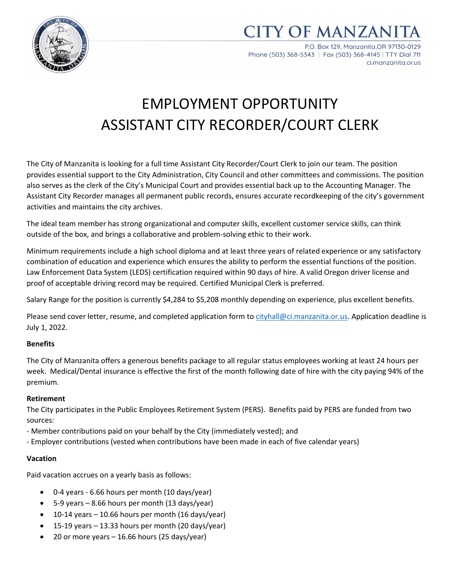

**CITY OF MANZAN** 

P.O. Box 129, Manzanita.OR 97130-0129 Phone (503) 368-5343 | Fax (503) 368-4145 | TTY Dial 711 ci.manzanita.or.us

# EMPLOYMENT OPPORTUNITY ASSISTANT CITY RECORDER/COURT CLERK

The City of Manzanita is looking for a full time Assistant City Recorder/Court Clerk to join our team. The position provides essential support to the City Administration, City Council and other committees and commissions. The position also serves as the clerk of the City's Municipal Court and provides essential back up to the Accounting Manager. The Assistant City Recorder manages all permanent public records, ensures accurate recordkeeping of the city's government activities and maintains the city archives.

The ideal team member has strong organizational and computer skills, excellent customer service skills, can think outside of the box, and brings a collaborative and problem-solving ethic to their work.

Minimum requirements include a high school diploma and at least three years of related experience or any satisfactory combination of education and experience which ensures the ability to perform the essential functions of the position. Law Enforcement Data System (LEDS) certification required within 90 days of hire. A valid Oregon driver license and proof of acceptable driving record may be required. Certified Municipal Clerk is preferred.

Salary Range for the position is currently \$4,284 to \$5,208 monthly depending on experience, plus excellent benefits.

Please send cover letter, resume, and completed application form to [cityhall@ci.manzanita.or.us.](mailto:cityhall@ci.manzanita.or.us) Application deadline is July 1, 2022.

#### **Benefits**

The City of Manzanita offers a generous benefits package to all regular status employees working at least 24 hours per week. Medical/Dental insurance is effective the first of the month following date of hire with the city paying 94% of the premium.

#### **Retirement**

The City participates in the Public Employees Retirement System (PERS). Benefits paid by PERS are funded from two sources:

- Member contributions paid on your behalf by the City (immediately vested); and
- Employer contributions (vested when contributions have been made in each of five calendar years)

#### **Vacation**

Paid vacation accrues on a yearly basis as follows:

- 0-4 years 6.66 hours per month (10 days/year)
- 5-9 years 8.66 hours per month (13 days/year)
- $\bullet$  10-14 years 10.66 hours per month (16 days/year)
- 15-19 years 13.33 hours per month (20 days/year)
- 20 or more years  $-16.66$  hours (25 days/year)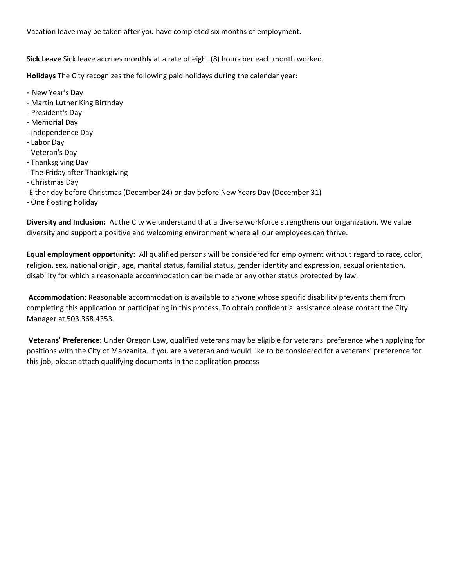Vacation leave may be taken after you have completed six months of employment.

**Sick Leave** Sick leave accrues monthly at a rate of eight (8) hours per each month worked.

**Holidays** The City recognizes the following paid holidays during the calendar year:

- New Year's Day
- Martin Luther King Birthday
- President's Day
- Memorial Day
- Independence Day
- Labor Day
- Veteran's Day
- Thanksgiving Day
- The Friday after Thanksgiving
- Christmas Day
- -Either day before Christmas (December 24) or day before New Years Day (December 31)
- One floating holiday

**Diversity and Inclusion:** At the City we understand that a diverse workforce strengthens our organization. We value diversity and support a positive and welcoming environment where all our employees can thrive.

**Equal employment opportunity:** All qualified persons will be considered for employment without regard to race, color, religion, sex, national origin, age, marital status, familial status, gender identity and expression, sexual orientation, disability for which a reasonable accommodation can be made or any other status protected by law.

**Accommodation:** Reasonable accommodation is available to anyone whose specific disability prevents them from completing this application or participating in this process. To obtain confidential assistance please contact the City Manager at 503.368.4353.

**Veterans' Preference:** Under Oregon Law, qualified veterans may be eligible for veterans' preference when applying for positions with the City of Manzanita. If you are a veteran and would like to be considered for a veterans' preference for this job, please attach qualifying documents in the application process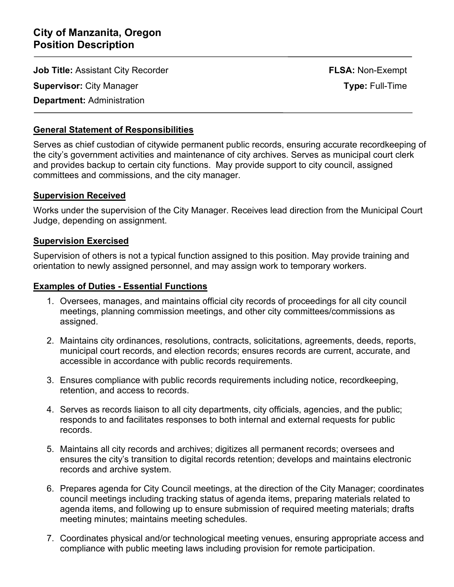**Job Title:** Assistant City Recorder **FLSA:** Non-Exempt

**Supervisor:** City Manager **Type:** Full-Time

## **Department:** Administration

İ

## **General Statement of Responsibilities**

Serves as chief custodian of citywide permanent public records, ensuring accurate recordkeeping of the city's government activities and maintenance of city archives. Serves as municipal court clerk and provides backup to certain city functions. May provide support to city council, assigned committees and commissions, and the city manager.

#### **Supervision Received**

Works under the supervision of the City Manager. Receives lead direction from the Municipal Court Judge, depending on assignment.

### **Supervision Exercised**

Supervision of others is not a typical function assigned to this position. May provide training and orientation to newly assigned personnel, and may assign work to temporary workers.

### **Examples of Duties - Essential Functions**

- 1. Oversees, manages, and maintains official city records of proceedings for all city council meetings, planning commission meetings, and other city committees/commissions as assigned.
- 2. Maintains city ordinances, resolutions, contracts, solicitations, agreements, deeds, reports, municipal court records, and election records; ensures records are current, accurate, and accessible in accordance with public records requirements.
- 3. Ensures compliance with public records requirements including notice, recordkeeping, retention, and access to records.
- 4. Serves as records liaison to all city departments, city officials, agencies, and the public; responds to and facilitates responses to both internal and external requests for public records.
- 5. Maintains all city records and archives; digitizes all permanent records; oversees and ensures the city's transition to digital records retention; develops and maintains electronic records and archive system.
- 6. Prepares agenda for City Council meetings, at the direction of the City Manager; coordinates council meetings including tracking status of agenda items, preparing materials related to agenda items, and following up to ensure submission of required meeting materials; drafts meeting minutes; maintains meeting schedules.
- 7. Coordinates physical and/or technological meeting venues, ensuring appropriate access and compliance with public meeting laws including provision for remote participation.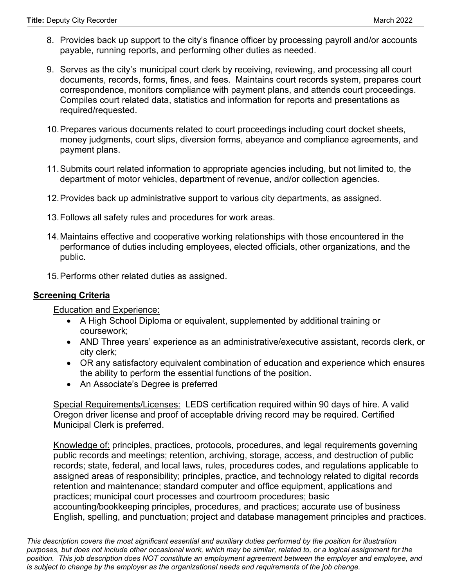- 8. Provides back up support to the city's finance officer by processing payroll and/or accounts payable, running reports, and performing other duties as needed.
- 9. Serves as the city's municipal court clerk by receiving, reviewing, and processing all court documents, records, forms, fines, and fees. Maintains court records system, prepares court correspondence, monitors compliance with payment plans, and attends court proceedings. Compiles court related data, statistics and information for reports and presentations as required/requested.
- 10.Prepares various documents related to court proceedings including court docket sheets, money judgments, court slips, diversion forms, abeyance and compliance agreements, and payment plans.
- 11.Submits court related information to appropriate agencies including, but not limited to, the department of motor vehicles, department of revenue, and/or collection agencies.
- 12.Provides back up administrative support to various city departments, as assigned.
- 13.Follows all safety rules and procedures for work areas.
- 14.Maintains effective and cooperative working relationships with those encountered in the performance of duties including employees, elected officials, other organizations, and the public.
- 15.Performs other related duties as assigned.

#### **Screening Criteria**

Education and Experience:

- A High School Diploma or equivalent, supplemented by additional training or coursework;
- AND Three years' experience as an administrative/executive assistant, records clerk, or city clerk;
- OR any satisfactory equivalent combination of education and experience which ensures the ability to perform the essential functions of the position.
- An Associate's Degree is preferred

Special Requirements/Licenses: LEDS certification required within 90 days of hire. A valid Oregon driver license and proof of acceptable driving record may be required. Certified Municipal Clerk is preferred.

Knowledge of: principles, practices, protocols, procedures, and legal requirements governing public records and meetings; retention, archiving, storage, access, and destruction of public records; state, federal, and local laws, rules, procedures codes, and regulations applicable to assigned areas of responsibility; principles, practice, and technology related to digital records retention and maintenance; standard computer and office equipment, applications and practices; municipal court processes and courtroom procedures; basic accounting/bookkeeping principles, procedures, and practices; accurate use of business English, spelling, and punctuation; project and database management principles and practices.

*This description covers the most significant essential and auxiliary duties performed by the position for illustration purposes, but does not include other occasional work, which may be similar, related to, or a logical assignment for the position. This job description does NOT constitute an employment agreement between the employer and employee, and is subject to change by the employer as the organizational needs and requirements of the job change.*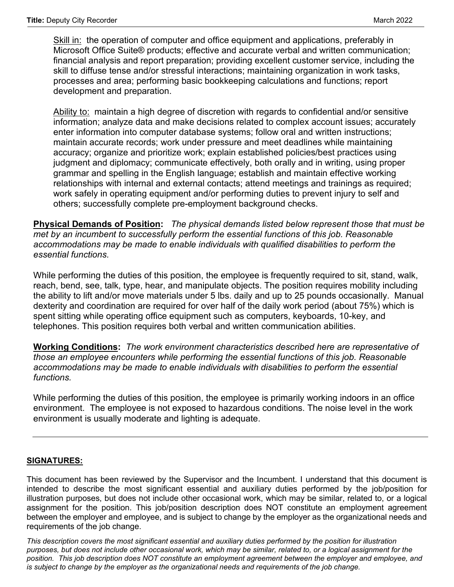Skill in: the operation of computer and office equipment and applications, preferably in Microsoft Office Suite® products; effective and accurate verbal and written communication; financial analysis and report preparation; providing excellent customer service, including the skill to diffuse tense and/or stressful interactions; maintaining organization in work tasks, processes and area; performing basic bookkeeping calculations and functions; report development and preparation.

Ability to: maintain a high degree of discretion with regards to confidential and/or sensitive information; analyze data and make decisions related to complex account issues; accurately enter information into computer database systems; follow oral and written instructions; maintain accurate records; work under pressure and meet deadlines while maintaining accuracy; organize and prioritize work; explain established policies/best practices using judgment and diplomacy; communicate effectively, both orally and in writing, using proper grammar and spelling in the English language; establish and maintain effective working relationships with internal and external contacts; attend meetings and trainings as required; work safely in operating equipment and/or performing duties to prevent injury to self and others; successfully complete pre-employment background checks.

**Physical Demands of Position:** *The physical demands listed below represent those that must be met by an incumbent to successfully perform the essential functions of this job. Reasonable accommodations may be made to enable individuals with qualified disabilities to perform the essential functions.* 

While performing the duties of this position, the employee is frequently required to sit, stand, walk, reach, bend, see, talk, type, hear, and manipulate objects. The position requires mobility including the ability to lift and/or move materials under 5 lbs. daily and up to 25 pounds occasionally. Manual dexterity and coordination are required for over half of the daily work period (about 75%) which is spent sitting while operating office equipment such as computers, keyboards, 10-key, and telephones. This position requires both verbal and written communication abilities.

**Working Conditions:** *The work environment characteristics described here are representative of those an employee encounters while performing the essential functions of this job. Reasonable accommodations may be made to enable individuals with disabilities to perform the essential functions.* 

While performing the duties of this position, the employee is primarily working indoors in an office environment. The employee is not exposed to hazardous conditions. The noise level in the work environment is usually moderate and lighting is adequate.

#### **SIGNATURES:**

This document has been reviewed by the Supervisor and the Incumbent. I understand that this document is intended to describe the most significant essential and auxiliary duties performed by the job/position for illustration purposes, but does not include other occasional work, which may be similar, related to, or a logical assignment for the position. This job/position description does NOT constitute an employment agreement between the employer and employee, and is subject to change by the employer as the organizational needs and requirements of the job change.

*This description covers the most significant essential and auxiliary duties performed by the position for illustration purposes, but does not include other occasional work, which may be similar, related to, or a logical assignment for the position. This job description does NOT constitute an employment agreement between the employer and employee, and is subject to change by the employer as the organizational needs and requirements of the job change.*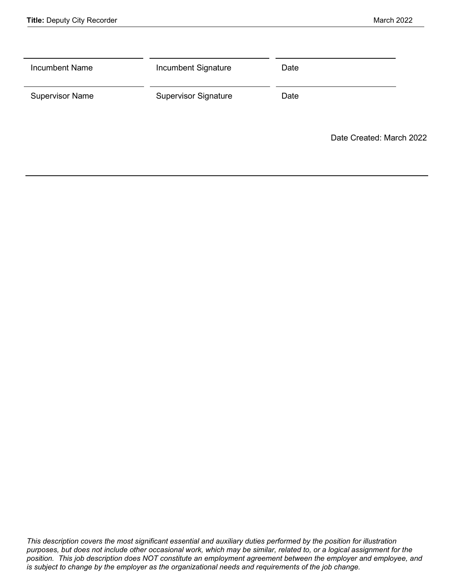| <b>Incumbent Name</b>  | Incumbent Signature         | Date |                          |
|------------------------|-----------------------------|------|--------------------------|
| <b>Supervisor Name</b> | <b>Supervisor Signature</b> | Date |                          |
|                        |                             |      | Date Created: March 2022 |

*This description covers the most significant essential and auxiliary duties performed by the position for illustration purposes, but does not include other occasional work, which may be similar, related to, or a logical assignment for the position. This job description does NOT constitute an employment agreement between the employer and employee, and is subject to change by the employer as the organizational needs and requirements of the job change.*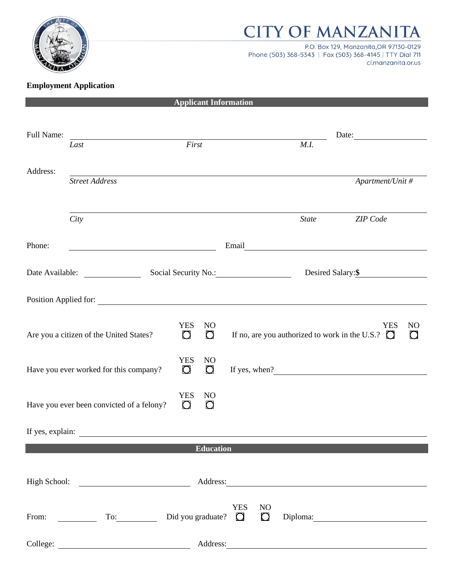

## **CITY OF MANZANITA**

P.O. Box 129, Manzanita, OR 97130-0129 Phone (503) 368-5343 | Fax (503) 368-4145 | TTY Dial 711 ci.manzanita.or.us

## **Employment Application**

|            |                                                                                                                                                                                                                                |                                                         | <b>Applicant Information</b> |                |              |                                                       |                |
|------------|--------------------------------------------------------------------------------------------------------------------------------------------------------------------------------------------------------------------------------|---------------------------------------------------------|------------------------------|----------------|--------------|-------------------------------------------------------|----------------|
|            |                                                                                                                                                                                                                                |                                                         |                              |                |              |                                                       |                |
| Full Name: |                                                                                                                                                                                                                                |                                                         |                              |                |              | Date:                                                 |                |
|            | Last                                                                                                                                                                                                                           | First                                                   |                              |                | M.I.         |                                                       |                |
| Address:   |                                                                                                                                                                                                                                |                                                         |                              |                |              |                                                       |                |
|            | <b>Street Address</b>                                                                                                                                                                                                          |                                                         |                              |                |              | Apartment/Unit #                                      |                |
|            |                                                                                                                                                                                                                                |                                                         |                              |                |              |                                                       |                |
|            | City                                                                                                                                                                                                                           |                                                         |                              |                | <b>State</b> | ZIP Code                                              |                |
|            |                                                                                                                                                                                                                                |                                                         |                              |                |              |                                                       |                |
| Phone:     |                                                                                                                                                                                                                                |                                                         | Email                        |                |              |                                                       |                |
|            |                                                                                                                                                                                                                                |                                                         |                              |                |              |                                                       |                |
|            | Date Available: Social Security No.:                                                                                                                                                                                           |                                                         |                              |                |              | Desired Salary: \$                                    |                |
|            |                                                                                                                                                                                                                                |                                                         |                              |                |              |                                                       |                |
|            | Position Applied for: Note that the set of the set of the set of the set of the set of the set of the set of the set of the set of the set of the set of the set of the set of the set of the set of the set of the set of the |                                                         |                              |                |              |                                                       |                |
|            |                                                                                                                                                                                                                                |                                                         |                              |                |              |                                                       |                |
|            |                                                                                                                                                                                                                                | <b>YES</b><br>N <sub>O</sub>                            |                              |                |              | <b>YES</b>                                            | N <sub>O</sub> |
|            | Are you a citizen of the United States?                                                                                                                                                                                        | $\Omega$<br>$\Box$                                      |                              |                |              | If no, are you authorized to work in the U.S.? $\Box$ |                |
|            |                                                                                                                                                                                                                                |                                                         |                              |                |              |                                                       |                |
|            | Have you ever worked for this company?                                                                                                                                                                                         | <b>YES</b><br>N <sub>O</sub><br>$\mathbf C$<br>$\Omega$ |                              |                |              | If yes, when?<br><u>If</u> yes, when?                 |                |
|            |                                                                                                                                                                                                                                |                                                         |                              |                |              |                                                       |                |
|            |                                                                                                                                                                                                                                | <b>YES</b><br>N <sub>O</sub>                            |                              |                |              |                                                       |                |
|            | Have you ever been convicted of a felony?                                                                                                                                                                                      | $\Box$<br>$\Box$                                        |                              |                |              |                                                       |                |
|            |                                                                                                                                                                                                                                |                                                         |                              |                |              |                                                       |                |
|            | If yes, explain:                                                                                                                                                                                                               |                                                         |                              |                |              |                                                       |                |
|            |                                                                                                                                                                                                                                |                                                         | <b>Education</b>             |                |              |                                                       |                |
|            |                                                                                                                                                                                                                                |                                                         |                              |                |              |                                                       |                |
|            | High School: 2008                                                                                                                                                                                                              |                                                         |                              |                |              | Address:                                              |                |
|            |                                                                                                                                                                                                                                |                                                         |                              |                |              |                                                       |                |
|            |                                                                                                                                                                                                                                |                                                         | <b>YES</b>                   | N <sub>O</sub> |              |                                                       |                |
|            | From: $\qquad \qquad \qquad \text{To:} \qquad \qquad$ Did you graduate? $\qquad \qquad \Box$                                                                                                                                   |                                                         |                              |                |              | Diploma: 2000                                         |                |
|            |                                                                                                                                                                                                                                |                                                         |                              |                |              |                                                       |                |
|            |                                                                                                                                                                                                                                |                                                         |                              |                |              | Address:                                              |                |
|            |                                                                                                                                                                                                                                |                                                         |                              |                |              |                                                       |                |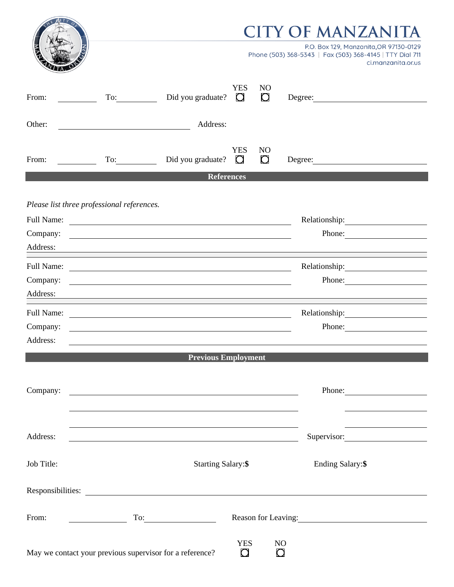|                                                                                  |                                                                                                                     |                                                                                                                        |                            | CITY OF MANZANITA<br>P.O. Box 129, Manzanita, OR 97130-0129<br>Phone (503) 368-5343   Fax (503) 368-4145   TTY Dial 711<br>ci.manzanita.or.us |
|----------------------------------------------------------------------------------|---------------------------------------------------------------------------------------------------------------------|------------------------------------------------------------------------------------------------------------------------|----------------------------|-----------------------------------------------------------------------------------------------------------------------------------------------|
| From:                                                                            |                                                                                                                     | <b>YES</b><br>Did you graduate? $\Box$                                                                                 | NO<br>$\Box$               | Degree: 2000                                                                                                                                  |
| Other:                                                                           | <u> 1989 - Johann Barn, mars eta bainar eta baina eta baina eta baina eta baina eta baina eta baina eta baina e</u> | Address:                                                                                                               |                            |                                                                                                                                               |
| From:                                                                            | To:                                                                                                                 | <b>YES</b><br>Did you graduate? $\Box$                                                                                 | N <sub>O</sub><br>$\Omega$ |                                                                                                                                               |
|                                                                                  |                                                                                                                     | <b>References</b>                                                                                                      |                            |                                                                                                                                               |
| Please list three professional references.<br>Full Name:<br>Company:<br>Address: |                                                                                                                     | <u> 1989 - Johann Barn, mars and de Brasilian (b. 1989)</u><br><u> 1980 - Johann Barnett, fransk politik (d. 1980)</u> |                            | Relationship: 2000<br>Phone: $\qquad \qquad$                                                                                                  |
| Full Name:<br>Company:<br>Address:                                               |                                                                                                                     |                                                                                                                        |                            | Phone:                                                                                                                                        |
| <b>Full Name:</b><br>Company:<br>Address:                                        |                                                                                                                     | <u> 1999 - Johann John Stoff, deutscher Stoffen und der Stoffen und der Stoffen und der Stoffen und der Stoffen un</u> |                            | Relationship:<br>Phone:                                                                                                                       |
|                                                                                  |                                                                                                                     | <b>Previous Employment</b>                                                                                             |                            |                                                                                                                                               |
| Company:                                                                         |                                                                                                                     |                                                                                                                        |                            | Phone:                                                                                                                                        |
| Address:                                                                         |                                                                                                                     | <u> 1980 - Johann Stoff, deutscher Stoffen und der Stoffen und der Stoffen und der Stoffen und der Stoffen und der</u> |                            | Supervisor:                                                                                                                                   |
| Job Title:                                                                       |                                                                                                                     | <b>Starting Salary:\$</b>                                                                                              |                            | Ending Salary:\$                                                                                                                              |
|                                                                                  |                                                                                                                     | Responsibilities:                                                                                                      |                            |                                                                                                                                               |
| From:                                                                            |                                                                                                                     | $\overline{\phantom{a}}$ To: $\overline{\phantom{a}}$                                                                  |                            | Reason for Leaving:                                                                                                                           |
|                                                                                  |                                                                                                                     | <b>YES</b><br>$\Box$<br>May we contact your previous supervisor for a reference?                                       |                            | N <sub>O</sub><br>$\bigcirc$                                                                                                                  |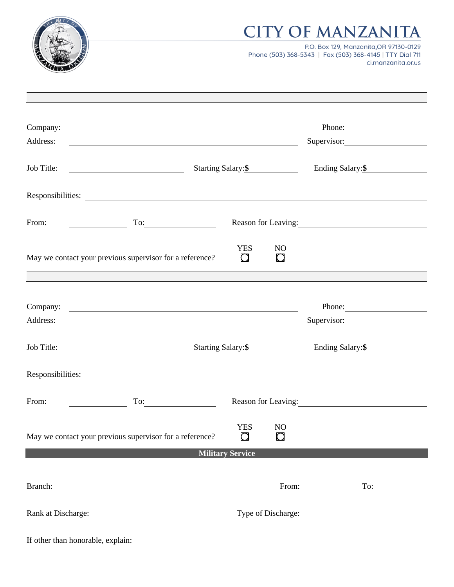

## **CITY OF MANZANITA**

P.O. Box 129, Manzanita, OR 97130-0129 Phone (503) 368-5343 | Fax (503) 368-4145 | TTY Dial 711 ci.manzanita.or.us

| Company:                          | <u> Alexandria de la contrada de la contrada de la contrada de la contrada de la contrada de la contrada de la c</u>  |                         |                          |                         | Phone: 2008       |  |
|-----------------------------------|-----------------------------------------------------------------------------------------------------------------------|-------------------------|--------------------------|-------------------------|-------------------|--|
| Address:                          | <u> 1980 - Johann Barn, mars ann an t-Amhain Aonaichte ann an t-Amhain Aonaichte ann an t-Amhain Aonaichte ann an</u> |                         |                          | Supervisor:             |                   |  |
| Job Title:                        | Starting Salary: \$                                                                                                   |                         |                          | Ending Salary: \$       |                   |  |
|                                   | Responsibilities:                                                                                                     |                         |                          |                         |                   |  |
| From:                             |                                                                                                                       |                         |                          | Reason for Leaving:     |                   |  |
|                                   | May we contact your previous supervisor for a reference?                                                              | <b>YES</b><br>$\Box$    | N <sub>O</sub><br>$\Box$ |                         |                   |  |
|                                   |                                                                                                                       |                         |                          |                         |                   |  |
| Company:                          | <u> 1989 - Johann John Stein, markin fan it fjort fan de ferstjer fan de ferstjer fan de ferstjer fan de ferstje</u>  |                         |                          |                         | Phone:            |  |
| Address:                          | <u> 1989 - Johann Stoff, deutscher Stoffen und der Stoffen und der Stoffen und der Stoffen und der Stoffen und de</u> |                         |                          | Supervisor:             |                   |  |
| Job Title:                        |                                                                                                                       | Starting Salary: \$     |                          |                         | Ending Salary: \$ |  |
|                                   | Responsibilities:                                                                                                     |                         |                          |                         |                   |  |
| From:                             | $\Gamma$ o: $\qquad \qquad$                                                                                           |                         |                          |                         |                   |  |
|                                   | May we contact your previous supervisor for a reference?                                                              | <b>YES</b><br>$\Box$    | NO<br>$\mathbf \Omega$   |                         |                   |  |
|                                   |                                                                                                                       | <b>Military Service</b> |                          |                         |                   |  |
|                                   |                                                                                                                       |                         |                          | From: $\qquad \qquad$   | To:               |  |
|                                   |                                                                                                                       |                         |                          |                         |                   |  |
|                                   | Rank at Discharge:                                                                                                    |                         |                          | Type of Discharge: 1999 |                   |  |
| If other than honorable, explain: |                                                                                                                       |                         |                          |                         |                   |  |